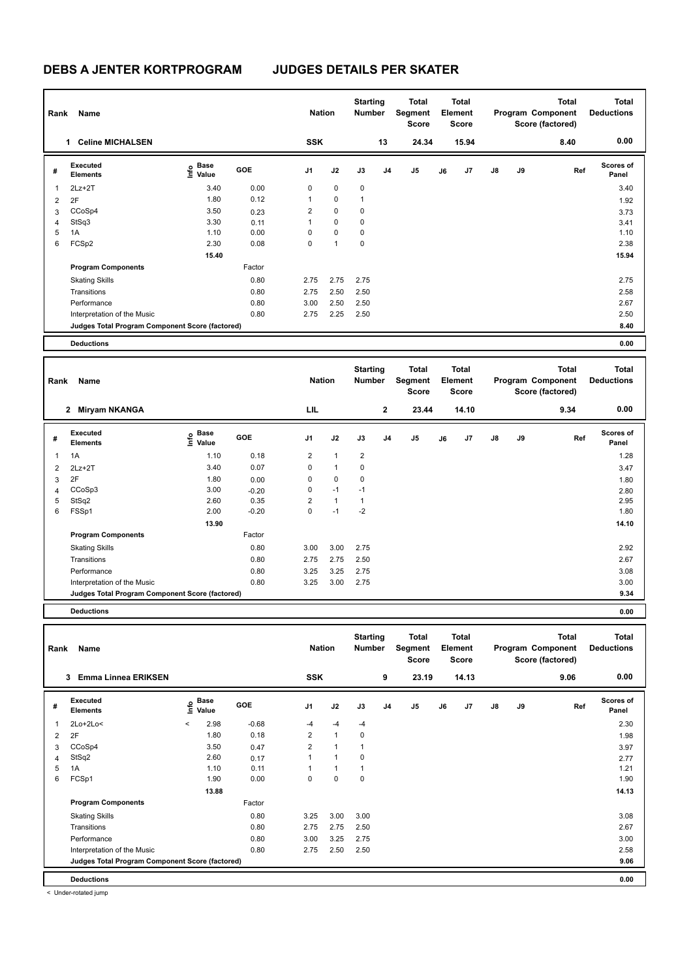| Rank | Name                                            |                                  |        | <b>Nation</b>  |                | <b>Starting</b><br><b>Number</b> |                | <b>Total</b><br>Segment<br><b>Score</b> |    | Total<br>Element<br><b>Score</b> |               |    | <b>Total</b><br>Program Component<br>Score (factored) | <b>Total</b><br><b>Deductions</b> |
|------|-------------------------------------------------|----------------------------------|--------|----------------|----------------|----------------------------------|----------------|-----------------------------------------|----|----------------------------------|---------------|----|-------------------------------------------------------|-----------------------------------|
|      | <b>Celine MICHALSEN</b><br>1                    |                                  |        | <b>SSK</b>     |                |                                  | 13             | 24.34                                   |    | 15.94                            |               |    | 8.40                                                  | 0.00                              |
| #    | <b>Executed</b><br><b>Elements</b>              | <b>Base</b><br>e Base<br>⊆ Value | GOE    | J <sub>1</sub> | J2             | J3                               | J <sub>4</sub> | J <sub>5</sub>                          | J6 | J7                               | $\mathsf{J}8$ | J9 | Ref                                                   | <b>Scores of</b><br>Panel         |
| 1    | $2Lz+2T$                                        | 3.40                             | 0.00   | 0              | 0              | 0                                |                |                                         |    |                                  |               |    |                                                       | 3.40                              |
| 2    | 2F                                              | 1.80                             | 0.12   | 1              | $\mathbf 0$    | 1                                |                |                                         |    |                                  |               |    |                                                       | 1.92                              |
| 3    | CCoSp4                                          | 3.50                             | 0.23   | $\overline{2}$ | $\mathbf 0$    | 0                                |                |                                         |    |                                  |               |    |                                                       | 3.73                              |
| 4    | StSq3                                           | 3.30                             | 0.11   | 1              | $\mathbf 0$    | 0                                |                |                                         |    |                                  |               |    |                                                       | 3.41                              |
| 5    | 1A                                              | 1.10                             | 0.00   | 0              | $\mathbf 0$    | 0                                |                |                                         |    |                                  |               |    |                                                       | 1.10                              |
| 6    | FCSp2                                           | 2.30                             | 0.08   | 0              | $\overline{1}$ | 0                                |                |                                         |    |                                  |               |    |                                                       | 2.38                              |
|      |                                                 | 15.40                            |        |                |                |                                  |                |                                         |    |                                  |               |    |                                                       | 15.94                             |
|      | <b>Program Components</b>                       |                                  | Factor |                |                |                                  |                |                                         |    |                                  |               |    |                                                       |                                   |
|      | <b>Skating Skills</b>                           |                                  | 0.80   | 2.75           | 2.75           | 2.75                             |                |                                         |    |                                  |               |    |                                                       | 2.75                              |
|      | Transitions                                     |                                  | 0.80   | 2.75           | 2.50           | 2.50                             |                |                                         |    |                                  |               |    |                                                       | 2.58                              |
|      | Performance                                     |                                  | 0.80   | 3.00           | 2.50           | 2.50                             |                |                                         |    |                                  |               |    |                                                       | 2.67                              |
|      | Interpretation of the Music                     |                                  | 0.80   | 2.75           | 2.25           | 2.50                             |                |                                         |    |                                  |               |    |                                                       | 2.50                              |
|      | Judges Total Program Component Score (factored) |                                  |        |                |                |                                  |                |                                         |    |                                  |               |    |                                                       | 8.40                              |
|      | <b>Deductions</b>                               |                                  |        |                |                |                                  |                |                                         |    |                                  |               |    |                                                       | 0.00                              |

| Rank | Name                                            |                           |            | <b>Nation</b>  |              | <b>Starting</b><br><b>Number</b> |                | Total<br>Segment<br><b>Score</b> |    | <b>Total</b><br>Element<br>Score |               |    | <b>Total</b><br>Program Component<br>Score (factored) | <b>Total</b><br><b>Deductions</b> |
|------|-------------------------------------------------|---------------------------|------------|----------------|--------------|----------------------------------|----------------|----------------------------------|----|----------------------------------|---------------|----|-------------------------------------------------------|-----------------------------------|
|      | 2 Miryam NKANGA                                 |                           |            | LIL            |              |                                  | $\mathbf{2}$   | 23.44                            |    | 14.10                            |               |    | 9.34                                                  | 0.00                              |
| #    | <b>Executed</b><br><b>Elements</b>              | Base<br>e Base<br>⊆ Value | <b>GOE</b> | J <sub>1</sub> | J2           | J3                               | J <sub>4</sub> | J5                               | J6 | J7                               | $\mathsf{J}8$ | J9 | Ref                                                   | <b>Scores of</b><br>Panel         |
| 1    | 1A                                              | 1.10                      | 0.18       | $\overline{2}$ | $\mathbf{1}$ | $\overline{2}$                   |                |                                  |    |                                  |               |    |                                                       | 1.28                              |
| 2    | $2Lz+2T$                                        | 3.40                      | 0.07       | 0              | $\mathbf{1}$ | 0                                |                |                                  |    |                                  |               |    |                                                       | 3.47                              |
| 3    | 2F                                              | 1.80                      | 0.00       | 0              | $\mathbf 0$  | $\mathbf 0$                      |                |                                  |    |                                  |               |    |                                                       | 1.80                              |
| 4    | CCoSp3                                          | 3.00                      | $-0.20$    | 0              | $-1$         | $-1$                             |                |                                  |    |                                  |               |    |                                                       | 2.80                              |
| 5    | StSq2                                           | 2.60                      | 0.35       | $\overline{2}$ | $\mathbf{1}$ | 1                                |                |                                  |    |                                  |               |    |                                                       | 2.95                              |
| 6    | FSSp1                                           | 2.00                      | $-0.20$    | 0              | $-1$         | $-2$                             |                |                                  |    |                                  |               |    |                                                       | 1.80                              |
|      |                                                 | 13.90                     |            |                |              |                                  |                |                                  |    |                                  |               |    |                                                       | 14.10                             |
|      | <b>Program Components</b>                       |                           | Factor     |                |              |                                  |                |                                  |    |                                  |               |    |                                                       |                                   |
|      | <b>Skating Skills</b>                           |                           | 0.80       | 3.00           | 3.00         | 2.75                             |                |                                  |    |                                  |               |    |                                                       | 2.92                              |
|      | Transitions                                     |                           | 0.80       | 2.75           | 2.75         | 2.50                             |                |                                  |    |                                  |               |    |                                                       | 2.67                              |
|      | Performance                                     |                           | 0.80       | 3.25           | 3.25         | 2.75                             |                |                                  |    |                                  |               |    |                                                       | 3.08                              |
|      | Interpretation of the Music                     |                           | 0.80       | 3.25           | 3.00         | 2.75                             |                |                                  |    |                                  |               |    |                                                       | 3.00                              |
|      | Judges Total Program Component Score (factored) |                           |            |                |              |                                  |                |                                  |    |                                  |               |    |                                                       | 9.34                              |
|      | <b>Deductions</b>                               |                           |            |                |              |                                  |                |                                  |    |                                  |               |    |                                                       | 0.00                              |

**Total Deductions Total Program Component Score (factored) Total Element Segment Score Total Score Starting Rank Name Nation Number # Executed Elements Base Value GOE J1 J2 J3 J4 J5 J6 J7 J8 J9 Scores of Panel** 1 2.98 -0.68 -4 -4 -4 **Ref**  2Lo+2Lo< < 2.30 **Info 3 Emma Linnea ERIKSEN SSK 9 23.19 14.13 9.06 0.00** 2 2 2 F 2 2 1 0 1.98 2 2 1 0 1.98 2 1 1.98 2 1.98 2 1.98 2 1.98 2 1.98 2 1.98 2 1.98 2 1.98 2 1.98 2 1.98 2 1.98 3 CCoSp4 3.50 0.47 2 1 1 3.97 4 StSq2 2.60 0.17 1 1 0 2.77 5 1A 1.10 0.11 1 1 1 1.21 6 FCSp1 1.90 0.00 0 0 0 1.90  **13.88 14.13 Program Components**  Skating Skills 3.25 3.00 3.00 Factor 0.80 3.08 Transitions 0.80 2.75 2.75 2.50 2.67 Performance 0.80 3.00 3.25 2.75 3.00 Interpretation of the Music 2.58 2.50 2.75 2.50 2.50 2.50 2.50 2.50 2.50 2.58 2.58 **Deductions 0.00 Judges Total Program Component Score (factored) 9.06**

< Under-rotated jump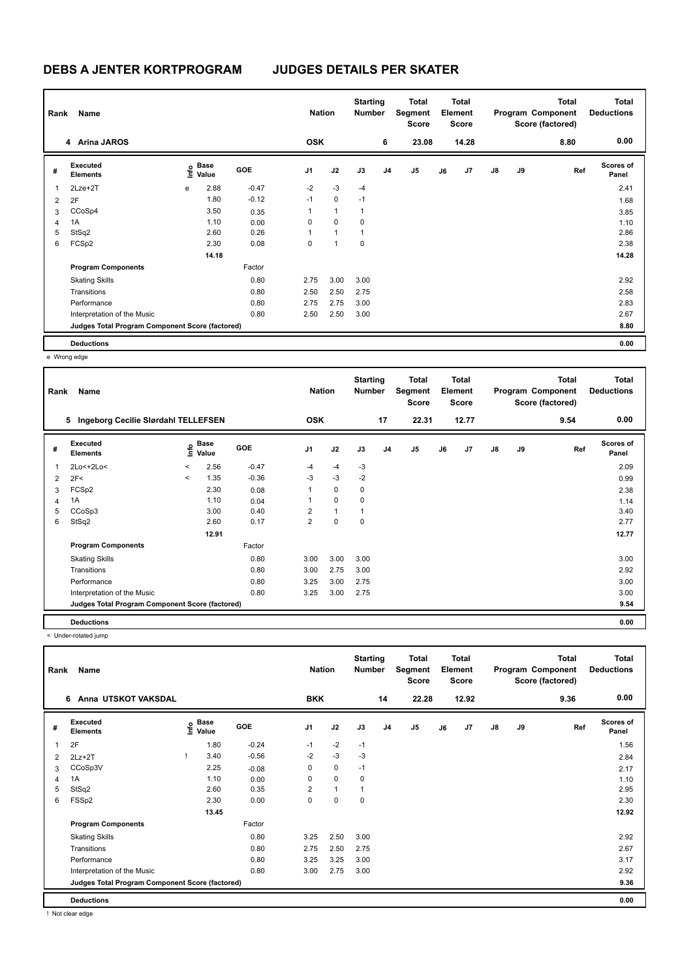| Rank           | Name                                            |      |                      |            | <b>Nation</b>  |              | <b>Starting</b><br><b>Number</b> |                | <b>Total</b><br>Segment<br><b>Score</b> |    | Total<br>Element<br><b>Score</b> |               |    | <b>Total</b><br>Program Component<br>Score (factored) | <b>Total</b><br><b>Deductions</b> |
|----------------|-------------------------------------------------|------|----------------------|------------|----------------|--------------|----------------------------------|----------------|-----------------------------------------|----|----------------------------------|---------------|----|-------------------------------------------------------|-----------------------------------|
|                | 4 Arina JAROS                                   |      |                      |            | <b>OSK</b>     |              |                                  | 6              | 23.08                                   |    | 14.28                            |               |    | 8.80                                                  | 0.00                              |
| #              | Executed<br><b>Elements</b>                     | lnfo | <b>Base</b><br>Value | <b>GOE</b> | J <sub>1</sub> | J2           | J3                               | J <sub>4</sub> | J5                                      | J6 | J7                               | $\mathsf{J}8$ | J9 | Ref                                                   | <b>Scores of</b><br>Panel         |
| 1              | 2Lze+2T                                         | e    | 2.88                 | $-0.47$    | $-2$           | $-3$         | $-4$                             |                |                                         |    |                                  |               |    |                                                       | 2.41                              |
| $\overline{2}$ | 2F                                              |      | 1.80                 | $-0.12$    | $-1$           | $\mathbf 0$  | $-1$                             |                |                                         |    |                                  |               |    |                                                       | 1.68                              |
| 3              | CCoSp4                                          |      | 3.50                 | 0.35       | 1              | $\mathbf{1}$ | $\overline{1}$                   |                |                                         |    |                                  |               |    |                                                       | 3.85                              |
| 4              | 1A                                              |      | 1.10                 | 0.00       | 0              | 0            | 0                                |                |                                         |    |                                  |               |    |                                                       | 1.10                              |
| 5              | StSq2                                           |      | 2.60                 | 0.26       | 1              | $\mathbf{1}$ | 1                                |                |                                         |    |                                  |               |    |                                                       | 2.86                              |
| 6              | FCSp2                                           |      | 2.30                 | 0.08       | 0              | 1            | $\mathbf 0$                      |                |                                         |    |                                  |               |    |                                                       | 2.38                              |
|                |                                                 |      | 14.18                |            |                |              |                                  |                |                                         |    |                                  |               |    |                                                       | 14.28                             |
|                | <b>Program Components</b>                       |      |                      | Factor     |                |              |                                  |                |                                         |    |                                  |               |    |                                                       |                                   |
|                | <b>Skating Skills</b>                           |      |                      | 0.80       | 2.75           | 3.00         | 3.00                             |                |                                         |    |                                  |               |    |                                                       | 2.92                              |
|                | Transitions                                     |      |                      | 0.80       | 2.50           | 2.50         | 2.75                             |                |                                         |    |                                  |               |    |                                                       | 2.58                              |
|                | Performance                                     |      |                      | 0.80       | 2.75           | 2.75         | 3.00                             |                |                                         |    |                                  |               |    |                                                       | 2.83                              |
|                | Interpretation of the Music                     |      |                      | 0.80       | 2.50           | 2.50         | 3.00                             |                |                                         |    |                                  |               |    |                                                       | 2.67                              |
|                | Judges Total Program Component Score (factored) |      |                      |            |                |              |                                  |                |                                         |    |                                  |               |    |                                                       | 8.80                              |
|                | <b>Deductions</b>                               |      |                      |            |                |              |                                  |                |                                         |    |                                  |               |    |                                                       | 0.00                              |

e Wrong edge

| Rank | Name                                            |         |                                  |            | <b>Nation</b>  |              | <b>Starting</b><br><b>Number</b> |    | Total<br>Segment<br><b>Score</b> |    | <b>Total</b><br>Element<br><b>Score</b> |    |    | <b>Total</b><br>Program Component<br>Score (factored) | <b>Total</b><br><b>Deductions</b> |
|------|-------------------------------------------------|---------|----------------------------------|------------|----------------|--------------|----------------------------------|----|----------------------------------|----|-----------------------------------------|----|----|-------------------------------------------------------|-----------------------------------|
|      | Ingeborg Cecilie Slørdahl TELLEFSEN<br>5        |         |                                  |            | <b>OSK</b>     |              |                                  | 17 | 22.31                            |    | 12.77                                   |    |    | 9.54                                                  | 0.00                              |
| #    | Executed<br><b>Elements</b>                     |         | <b>Base</b><br>e Base<br>⊆ Value | <b>GOE</b> | J <sub>1</sub> | J2           | J3                               | J4 | J <sub>5</sub>                   | J6 | J <sub>7</sub>                          | J8 | J9 | Ref                                                   | <b>Scores of</b><br>Panel         |
| 1    | 2Lo<+2Lo<                                       | $\prec$ | 2.56                             | $-0.47$    | $-4$           | $-4$         | $-3$                             |    |                                  |    |                                         |    |    |                                                       | 2.09                              |
| 2    | 2F<                                             | $\prec$ | 1.35                             | $-0.36$    | $-3$           | $-3$         | $-2$                             |    |                                  |    |                                         |    |    |                                                       | 0.99                              |
| 3    | FCSp2                                           |         | 2.30                             | 0.08       | 1              | $\mathbf 0$  | $\mathbf 0$                      |    |                                  |    |                                         |    |    |                                                       | 2.38                              |
| 4    | 1A                                              |         | 1.10                             | 0.04       | 1              | $\mathbf 0$  | 0                                |    |                                  |    |                                         |    |    |                                                       | 1.14                              |
| 5    | CCoSp3                                          |         | 3.00                             | 0.40       | $\overline{2}$ | $\mathbf{1}$ | $\mathbf{1}$                     |    |                                  |    |                                         |    |    |                                                       | 3.40                              |
| 6    | StSq2                                           |         | 2.60                             | 0.17       | $\overline{2}$ | $\mathbf 0$  | $\mathbf 0$                      |    |                                  |    |                                         |    |    |                                                       | 2.77                              |
|      |                                                 |         | 12.91                            |            |                |              |                                  |    |                                  |    |                                         |    |    |                                                       | 12.77                             |
|      | <b>Program Components</b>                       |         |                                  | Factor     |                |              |                                  |    |                                  |    |                                         |    |    |                                                       |                                   |
|      | <b>Skating Skills</b>                           |         |                                  | 0.80       | 3.00           | 3.00         | 3.00                             |    |                                  |    |                                         |    |    |                                                       | 3.00                              |
|      | Transitions                                     |         |                                  | 0.80       | 3.00           | 2.75         | 3.00                             |    |                                  |    |                                         |    |    |                                                       | 2.92                              |
|      | Performance                                     |         |                                  | 0.80       | 3.25           | 3.00         | 2.75                             |    |                                  |    |                                         |    |    |                                                       | 3.00                              |
|      | Interpretation of the Music                     |         |                                  | 0.80       | 3.25           | 3.00         | 2.75                             |    |                                  |    |                                         |    |    |                                                       | 3.00                              |
|      | Judges Total Program Component Score (factored) |         |                                  |            |                |              |                                  |    |                                  |    |                                         |    |    |                                                       | 9.54                              |
|      | <b>Deductions</b>                               |         |                                  |            |                |              |                                  |    |                                  |    |                                         |    |    |                                                       | 0.00                              |

< Under-rotated jump

| Rank | Name                                            |                             |            | <b>Nation</b>  |              | <b>Starting</b><br><b>Number</b> |                | Total<br>Segment<br><b>Score</b> |    | <b>Total</b><br>Element<br><b>Score</b> |               |    | <b>Total</b><br>Program Component<br>Score (factored) | <b>Total</b><br><b>Deductions</b> |
|------|-------------------------------------------------|-----------------------------|------------|----------------|--------------|----------------------------------|----------------|----------------------------------|----|-----------------------------------------|---------------|----|-------------------------------------------------------|-----------------------------------|
|      | Anna UTSKOT VAKSDAL<br>6                        |                             |            | <b>BKK</b>     |              |                                  | 14             | 22.28                            |    | 12.92                                   |               |    | 9.36                                                  | 0.00                              |
| #    | Executed<br><b>Elements</b>                     | Base<br>$\frac{6}{5}$ Value | <b>GOE</b> | J <sub>1</sub> | J2           | J3                               | J <sub>4</sub> | J <sub>5</sub>                   | J6 | J7                                      | $\mathsf{J}8$ | J9 | Ref                                                   | <b>Scores of</b><br>Panel         |
| 1    | 2F                                              | 1.80                        | $-0.24$    | $-1$           | $-2$         | $-1$                             |                |                                  |    |                                         |               |    |                                                       | 1.56                              |
| 2    | $2Lz+2T$                                        | 3.40                        | $-0.56$    | $-2$           | $-3$         | $-3$                             |                |                                  |    |                                         |               |    |                                                       | 2.84                              |
| 3    | CCoSp3V                                         | 2.25                        | $-0.08$    | 0              | $\mathbf 0$  | $-1$                             |                |                                  |    |                                         |               |    |                                                       | 2.17                              |
| 4    | 1A                                              | 1.10                        | 0.00       | 0              | $\mathbf 0$  | 0                                |                |                                  |    |                                         |               |    |                                                       | 1.10                              |
| 5    | StSq2                                           | 2.60                        | 0.35       | $\overline{2}$ | $\mathbf{1}$ |                                  |                |                                  |    |                                         |               |    |                                                       | 2.95                              |
| 6    | FSSp2                                           | 2.30                        | 0.00       | 0              | 0            | 0                                |                |                                  |    |                                         |               |    |                                                       | 2.30                              |
|      |                                                 | 13.45                       |            |                |              |                                  |                |                                  |    |                                         |               |    |                                                       | 12.92                             |
|      | <b>Program Components</b>                       |                             | Factor     |                |              |                                  |                |                                  |    |                                         |               |    |                                                       |                                   |
|      | <b>Skating Skills</b>                           |                             | 0.80       | 3.25           | 2.50         | 3.00                             |                |                                  |    |                                         |               |    |                                                       | 2.92                              |
|      | Transitions                                     |                             | 0.80       | 2.75           | 2.50         | 2.75                             |                |                                  |    |                                         |               |    |                                                       | 2.67                              |
|      | Performance                                     |                             | 0.80       | 3.25           | 3.25         | 3.00                             |                |                                  |    |                                         |               |    |                                                       | 3.17                              |
|      | Interpretation of the Music                     |                             | 0.80       | 3.00           | 2.75         | 3.00                             |                |                                  |    |                                         |               |    |                                                       | 2.92                              |
|      | Judges Total Program Component Score (factored) |                             |            |                |              |                                  |                |                                  |    |                                         |               |    |                                                       | 9.36                              |
|      | <b>Deductions</b>                               |                             |            |                |              |                                  |                |                                  |    |                                         |               |    |                                                       | 0.00                              |

! Not clear edge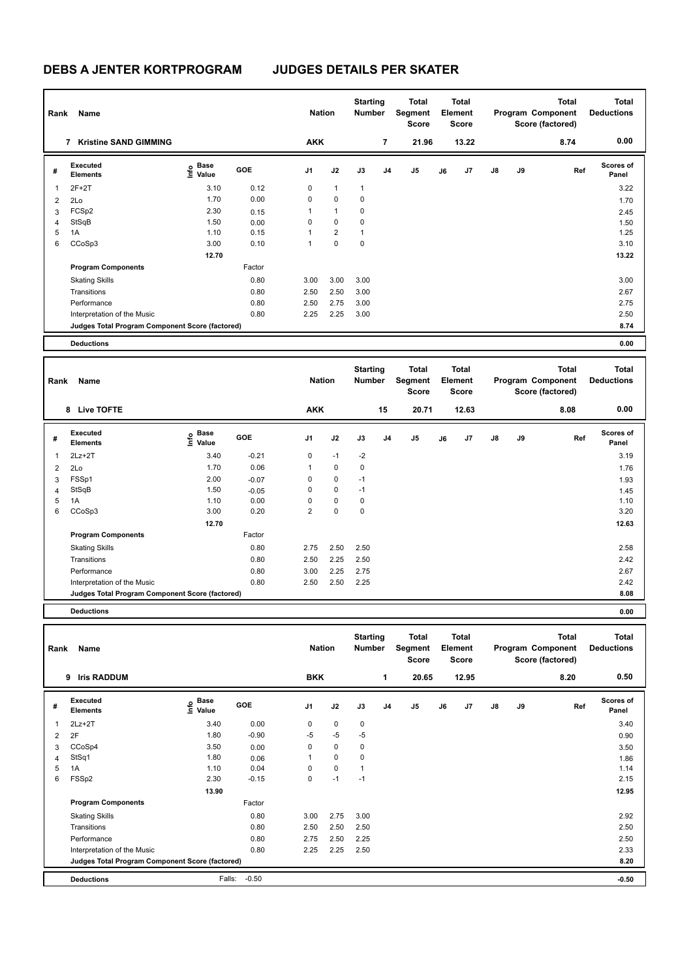| Rank           | Name                                            |                                  |            | <b>Nation</b> |                         | <b>Starting</b><br>Number |    | Total<br>Segment<br><b>Score</b> |    | Total<br>Element<br><b>Score</b> |               |    | <b>Total</b><br>Program Component<br>Score (factored) | <b>Total</b><br><b>Deductions</b> |
|----------------|-------------------------------------------------|----------------------------------|------------|---------------|-------------------------|---------------------------|----|----------------------------------|----|----------------------------------|---------------|----|-------------------------------------------------------|-----------------------------------|
|                | <b>Kristine SAND GIMMING</b><br>7               |                                  |            | AKK           |                         |                           | 7  | 21.96                            |    | 13.22                            |               |    | 8.74                                                  | 0.00                              |
| #              | Executed<br><b>Elements</b>                     | <b>Base</b><br>e Base<br>⊆ Value | <b>GOE</b> | J1            | J2                      | J3                        | J4 | J5                               | J6 | J <sub>7</sub>                   | $\mathsf{J}8$ | J9 | Ref                                                   | <b>Scores of</b><br>Panel         |
| 1              | $2F+2T$                                         | 3.10                             | 0.12       | 0             | $\mathbf{1}$            | $\mathbf{1}$              |    |                                  |    |                                  |               |    |                                                       | 3.22                              |
| 2              | 2Lo                                             | 1.70                             | 0.00       | 0             | $\mathbf 0$             | 0                         |    |                                  |    |                                  |               |    |                                                       | 1.70                              |
| 3              | FCSp2                                           | 2.30                             | 0.15       | 1             | $\mathbf{1}$            | 0                         |    |                                  |    |                                  |               |    |                                                       | 2.45                              |
| $\overline{4}$ | StSqB                                           | 1.50                             | 0.00       | 0             | $\mathbf 0$             | 0                         |    |                                  |    |                                  |               |    |                                                       | 1.50                              |
| 5              | 1A                                              | 1.10                             | 0.15       |               | $\overline{\mathbf{c}}$ | 1                         |    |                                  |    |                                  |               |    |                                                       | 1.25                              |
| 6              | CCoSp3                                          | 3.00                             | 0.10       | 1             | 0                       | 0                         |    |                                  |    |                                  |               |    |                                                       | 3.10                              |
|                |                                                 | 12.70                            |            |               |                         |                           |    |                                  |    |                                  |               |    |                                                       | 13.22                             |
|                | <b>Program Components</b>                       |                                  | Factor     |               |                         |                           |    |                                  |    |                                  |               |    |                                                       |                                   |
|                | <b>Skating Skills</b>                           |                                  | 0.80       | 3.00          | 3.00                    | 3.00                      |    |                                  |    |                                  |               |    |                                                       | 3.00                              |
|                | Transitions                                     |                                  | 0.80       | 2.50          | 2.50                    | 3.00                      |    |                                  |    |                                  |               |    |                                                       | 2.67                              |
|                | Performance                                     |                                  | 0.80       | 2.50          | 2.75                    | 3.00                      |    |                                  |    |                                  |               |    |                                                       | 2.75                              |
|                | Interpretation of the Music                     |                                  | 0.80       | 2.25          | 2.25                    | 3.00                      |    |                                  |    |                                  |               |    |                                                       | 2.50                              |
|                | Judges Total Program Component Score (factored) |                                  |            |               |                         |                           |    |                                  |    |                                  |               |    |                                                       | 8.74                              |
|                | <b>Deductions</b>                               |                                  |            |               |                         |                           |    |                                  |    |                                  |               |    |                                                       | 0.00                              |

| Rank           | Name                                            |                           |         | <b>Nation</b>  |             | <b>Starting</b><br><b>Number</b> |                | Total<br>Segment<br>Score |    | Total<br>Element<br><b>Score</b> |               |    | <b>Total</b><br>Program Component<br>Score (factored) | <b>Total</b><br><b>Deductions</b> |
|----------------|-------------------------------------------------|---------------------------|---------|----------------|-------------|----------------------------------|----------------|---------------------------|----|----------------------------------|---------------|----|-------------------------------------------------------|-----------------------------------|
|                | <b>Live TOFTE</b><br>8                          |                           |         | <b>AKK</b>     |             |                                  | 15             | 20.71                     |    | 12.63                            |               |    | 8.08                                                  | 0.00                              |
| #              | Executed<br><b>Elements</b>                     | Base<br>e Base<br>⊆ Value | GOE     | J <sub>1</sub> | J2          | J3                               | J <sub>4</sub> | J <sub>5</sub>            | J6 | J <sub>7</sub>                   | $\mathsf{J}8$ | J9 | Ref                                                   | <b>Scores of</b><br>Panel         |
|                | $2Lz+2T$                                        | 3.40                      | $-0.21$ | 0              | $-1$        | $-2$                             |                |                           |    |                                  |               |    |                                                       | 3.19                              |
| $\overline{2}$ | 2Lo                                             | 1.70                      | 0.06    | 1              | $\pmb{0}$   | 0                                |                |                           |    |                                  |               |    |                                                       | 1.76                              |
| 3              | FSSp1                                           | 2.00                      | $-0.07$ | 0              | $\pmb{0}$   | $-1$                             |                |                           |    |                                  |               |    |                                                       | 1.93                              |
| $\overline{4}$ | StSqB                                           | 1.50                      | $-0.05$ | 0              | $\mathbf 0$ | $-1$                             |                |                           |    |                                  |               |    |                                                       | 1.45                              |
| 5              | 1A                                              | 1.10                      | 0.00    | 0              | $\mathbf 0$ | $\mathbf 0$                      |                |                           |    |                                  |               |    |                                                       | 1.10                              |
| 6              | CCoSp3                                          | 3.00                      | 0.20    | $\overline{2}$ | $\pmb{0}$   | 0                                |                |                           |    |                                  |               |    |                                                       | 3.20                              |
|                |                                                 | 12.70                     |         |                |             |                                  |                |                           |    |                                  |               |    |                                                       | 12.63                             |
|                | <b>Program Components</b>                       |                           | Factor  |                |             |                                  |                |                           |    |                                  |               |    |                                                       |                                   |
|                | <b>Skating Skills</b>                           |                           | 0.80    | 2.75           | 2.50        | 2.50                             |                |                           |    |                                  |               |    |                                                       | 2.58                              |
|                | Transitions                                     |                           | 0.80    | 2.50           | 2.25        | 2.50                             |                |                           |    |                                  |               |    |                                                       | 2.42                              |
|                | Performance                                     |                           | 0.80    | 3.00           | 2.25        | 2.75                             |                |                           |    |                                  |               |    |                                                       | 2.67                              |
|                | Interpretation of the Music                     |                           | 0.80    | 2.50           | 2.50        | 2.25                             |                |                           |    |                                  |               |    |                                                       | 2.42                              |
|                | Judges Total Program Component Score (factored) |                           |         |                |             |                                  |                |                           |    |                                  |               |    |                                                       | 8.08                              |
|                |                                                 |                           |         |                |             |                                  |                |                           |    |                                  |               |    |                                                       |                                   |

| D.OO<br>. |
|-----------|
|           |

| Rank | Name                                            |                           |            | <b>Nation</b>  |             | <b>Starting</b><br><b>Number</b> |                | Total<br>Segment<br><b>Score</b> |    | <b>Total</b><br>Element<br>Score |               |    | <b>Total</b><br>Program Component<br>Score (factored) | <b>Total</b><br><b>Deductions</b> |
|------|-------------------------------------------------|---------------------------|------------|----------------|-------------|----------------------------------|----------------|----------------------------------|----|----------------------------------|---------------|----|-------------------------------------------------------|-----------------------------------|
|      | <b>Iris RADDUM</b><br>9                         |                           |            | <b>BKK</b>     |             |                                  | 1              | 20.65                            |    | 12.95                            |               |    | 8.20                                                  | 0.50                              |
| #    | Executed<br><b>Elements</b>                     | Base<br>e Base<br>⊆ Value | <b>GOE</b> | J <sub>1</sub> | J2          | J3                               | J <sub>4</sub> | J <sub>5</sub>                   | J6 | J7                               | $\mathsf{J}8$ | J9 | Ref                                                   | Scores of<br>Panel                |
| 1    | $2Lz+2T$                                        | 3.40                      | 0.00       | 0              | $\mathbf 0$ | 0                                |                |                                  |    |                                  |               |    |                                                       | 3.40                              |
| 2    | 2F                                              | 1.80                      | $-0.90$    | $-5$           | $-5$        | $-5$                             |                |                                  |    |                                  |               |    |                                                       | 0.90                              |
| 3    | CCoSp4                                          | 3.50                      | 0.00       | 0              | $\mathbf 0$ | 0                                |                |                                  |    |                                  |               |    |                                                       | 3.50                              |
| 4    | StSq1                                           | 1.80                      | 0.06       |                | $\mathbf 0$ | 0                                |                |                                  |    |                                  |               |    |                                                       | 1.86                              |
| 5    | 1A                                              | 1.10                      | 0.04       | 0              | $\mathbf 0$ | 1                                |                |                                  |    |                                  |               |    |                                                       | 1.14                              |
| 6    | FSSp2                                           | 2.30                      | $-0.15$    | 0              | $-1$        | $-1$                             |                |                                  |    |                                  |               |    |                                                       | 2.15                              |
|      |                                                 | 13.90                     |            |                |             |                                  |                |                                  |    |                                  |               |    |                                                       | 12.95                             |
|      | <b>Program Components</b>                       |                           | Factor     |                |             |                                  |                |                                  |    |                                  |               |    |                                                       |                                   |
|      | <b>Skating Skills</b>                           |                           | 0.80       | 3.00           | 2.75        | 3.00                             |                |                                  |    |                                  |               |    |                                                       | 2.92                              |
|      | Transitions                                     |                           | 0.80       | 2.50           | 2.50        | 2.50                             |                |                                  |    |                                  |               |    |                                                       | 2.50                              |
|      | Performance                                     |                           | 0.80       | 2.75           | 2.50        | 2.25                             |                |                                  |    |                                  |               |    |                                                       | 2.50                              |
|      | Interpretation of the Music                     |                           | 0.80       | 2.25           | 2.25        | 2.50                             |                |                                  |    |                                  |               |    |                                                       | 2.33                              |
|      | Judges Total Program Component Score (factored) |                           |            |                |             |                                  |                |                                  |    |                                  |               |    |                                                       | 8.20                              |
|      | <b>Deductions</b>                               | Falls:                    | $-0.50$    |                |             |                                  |                |                                  |    |                                  |               |    |                                                       | $-0.50$                           |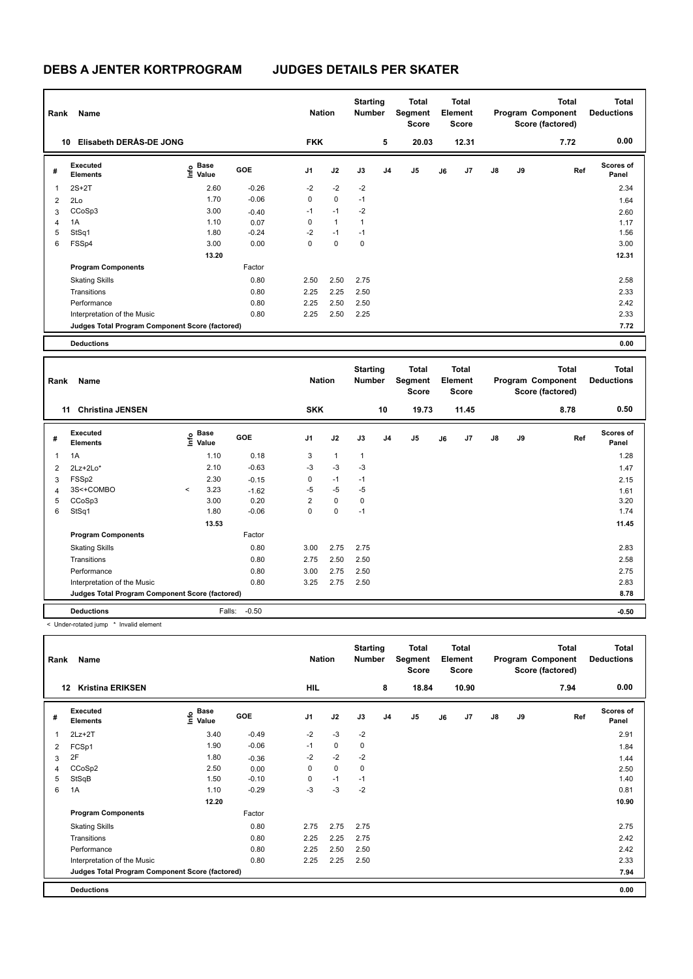| Rank           | Name                                            |                                  |         | <b>Nation</b> |              | <b>Starting</b><br><b>Number</b> |                | <b>Total</b><br>Segment<br><b>Score</b> |    | Total<br>Element<br><b>Score</b> |               |    | <b>Total</b><br>Program Component<br>Score (factored) | <b>Total</b><br><b>Deductions</b> |
|----------------|-------------------------------------------------|----------------------------------|---------|---------------|--------------|----------------------------------|----------------|-----------------------------------------|----|----------------------------------|---------------|----|-------------------------------------------------------|-----------------------------------|
| 10             | Elisabeth DERÅS-DE JONG                         |                                  |         | <b>FKK</b>    |              |                                  | 5              | 20.03                                   |    | 12.31                            |               |    | 7.72                                                  | 0.00                              |
| #              | Executed<br><b>Elements</b>                     | <b>Base</b><br>e Base<br>⊆ Value | GOE     | J1            | J2           | J3                               | J <sub>4</sub> | J5                                      | J6 | J7                               | $\mathsf{J}8$ | J9 | Ref                                                   | <b>Scores of</b><br>Panel         |
| 1              | $2S+2T$                                         | 2.60                             | $-0.26$ | $-2$          | $-2$         | $-2$                             |                |                                         |    |                                  |               |    |                                                       | 2.34                              |
| 2              | 2Lo                                             | 1.70                             | $-0.06$ | 0             | 0            | $-1$                             |                |                                         |    |                                  |               |    |                                                       | 1.64                              |
| 3              | CCoSp3                                          | 3.00                             | $-0.40$ | $-1$          | $-1$         | $-2$                             |                |                                         |    |                                  |               |    |                                                       | 2.60                              |
| $\overline{4}$ | 1A                                              | 1.10                             | 0.07    | 0             | $\mathbf{1}$ | 1                                |                |                                         |    |                                  |               |    |                                                       | 1.17                              |
| 5              | StSq1                                           | 1.80                             | $-0.24$ | $-2$          | $-1$         | $-1$                             |                |                                         |    |                                  |               |    |                                                       | 1.56                              |
| 6              | FSSp4                                           | 3.00                             | 0.00    | 0             | $\mathbf 0$  | 0                                |                |                                         |    |                                  |               |    |                                                       | 3.00                              |
|                |                                                 | 13.20                            |         |               |              |                                  |                |                                         |    |                                  |               |    |                                                       | 12.31                             |
|                | <b>Program Components</b>                       |                                  | Factor  |               |              |                                  |                |                                         |    |                                  |               |    |                                                       |                                   |
|                | <b>Skating Skills</b>                           |                                  | 0.80    | 2.50          | 2.50         | 2.75                             |                |                                         |    |                                  |               |    |                                                       | 2.58                              |
|                | Transitions                                     |                                  | 0.80    | 2.25          | 2.25         | 2.50                             |                |                                         |    |                                  |               |    |                                                       | 2.33                              |
|                | Performance                                     |                                  | 0.80    | 2.25          | 2.50         | 2.50                             |                |                                         |    |                                  |               |    |                                                       | 2.42                              |
|                | Interpretation of the Music                     |                                  | 0.80    | 2.25          | 2.50         | 2.25                             |                |                                         |    |                                  |               |    |                                                       | 2.33                              |
|                | Judges Total Program Component Score (factored) |                                  |         |               |              |                                  |                |                                         |    |                                  |               |    |                                                       | 7.72                              |
|                | <b>Deductions</b>                               |                                  |         |               |              |                                  |                |                                         |    |                                  |               |    |                                                       | 0.00                              |

| Rank           | Name                                            |         |                                  |            | <b>Nation</b>  |              | <b>Starting</b><br><b>Number</b> |                | <b>Total</b><br>Segment<br><b>Score</b> |    | <b>Total</b><br>Element<br><b>Score</b> |               |    | <b>Total</b><br>Program Component<br>Score (factored) | <b>Total</b><br><b>Deductions</b> |
|----------------|-------------------------------------------------|---------|----------------------------------|------------|----------------|--------------|----------------------------------|----------------|-----------------------------------------|----|-----------------------------------------|---------------|----|-------------------------------------------------------|-----------------------------------|
|                | <b>Christina JENSEN</b><br>11                   |         |                                  |            | <b>SKK</b>     |              |                                  | 10             | 19.73                                   |    | 11.45                                   |               |    | 8.78                                                  | 0.50                              |
| #              | Executed<br><b>Elements</b>                     |         | <b>Base</b><br>e Base<br>⊆ Value | <b>GOE</b> | J <sub>1</sub> | J2           | J3                               | J <sub>4</sub> | J <sub>5</sub>                          | J6 | J7                                      | $\mathsf{J}8$ | J9 | Ref                                                   | Scores of<br>Panel                |
| 1              | 1A                                              |         | 1.10                             | 0.18       | 3              | $\mathbf{1}$ | $\mathbf{1}$                     |                |                                         |    |                                         |               |    |                                                       | 1.28                              |
| 2              | $2Lz+2Lo*$                                      |         | 2.10                             | $-0.63$    | $-3$           | $-3$         | $-3$                             |                |                                         |    |                                         |               |    |                                                       | 1.47                              |
| 3              | FSSp2                                           |         | 2.30                             | $-0.15$    | 0              | $-1$         | $-1$                             |                |                                         |    |                                         |               |    |                                                       | 2.15                              |
| $\overline{4}$ | 3S<+COMBO                                       | $\prec$ | 3.23                             | $-1.62$    | $-5$           | $-5$         | $-5$                             |                |                                         |    |                                         |               |    |                                                       | 1.61                              |
| 5              | CCoSp3                                          |         | 3.00                             | 0.20       | $\overline{2}$ | $\mathbf 0$  | $\mathbf 0$                      |                |                                         |    |                                         |               |    |                                                       | 3.20                              |
| 6              | StSq1                                           |         | 1.80                             | $-0.06$    | $\mathbf 0$    | $\mathbf 0$  | $-1$                             |                |                                         |    |                                         |               |    |                                                       | 1.74                              |
|                |                                                 |         | 13.53                            |            |                |              |                                  |                |                                         |    |                                         |               |    |                                                       | 11.45                             |
|                | <b>Program Components</b>                       |         |                                  | Factor     |                |              |                                  |                |                                         |    |                                         |               |    |                                                       |                                   |
|                | <b>Skating Skills</b>                           |         |                                  | 0.80       | 3.00           | 2.75         | 2.75                             |                |                                         |    |                                         |               |    |                                                       | 2.83                              |
|                | Transitions                                     |         |                                  | 0.80       | 2.75           | 2.50         | 2.50                             |                |                                         |    |                                         |               |    |                                                       | 2.58                              |
|                | Performance                                     |         |                                  | 0.80       | 3.00           | 2.75         | 2.50                             |                |                                         |    |                                         |               |    |                                                       | 2.75                              |
|                | Interpretation of the Music                     |         |                                  | 0.80       | 3.25           | 2.75         | 2.50                             |                |                                         |    |                                         |               |    |                                                       | 2.83                              |
|                | Judges Total Program Component Score (factored) |         |                                  |            |                |              |                                  |                |                                         |    |                                         |               |    |                                                       | 8.78                              |
|                | <b>Deductions</b>                               |         | Falls:                           | $-0.50$    |                |              |                                  |                |                                         |    |                                         |               |    |                                                       | $-0.50$                           |

< Under-rotated jump \* Invalid element

| Rank | Name                                            |                                  |            | <b>Nation</b>  |             | <b>Starting</b><br><b>Number</b> |                | Total<br>Segment<br><b>Score</b> |    | <b>Total</b><br>Element<br><b>Score</b> |               |    | <b>Total</b><br>Program Component<br>Score (factored) | <b>Total</b><br><b>Deductions</b> |
|------|-------------------------------------------------|----------------------------------|------------|----------------|-------------|----------------------------------|----------------|----------------------------------|----|-----------------------------------------|---------------|----|-------------------------------------------------------|-----------------------------------|
|      | <b>Kristina ERIKSEN</b><br>12                   |                                  |            | HIL            |             |                                  | 8              | 18.84                            |    | 10.90                                   |               |    | 7.94                                                  | 0.00                              |
| #    | Executed<br><b>Elements</b>                     | <b>Base</b><br>e Base<br>⊆ Value | <b>GOE</b> | J <sub>1</sub> | J2          | J3                               | J <sub>4</sub> | J <sub>5</sub>                   | J6 | J7                                      | $\mathsf{J}8$ | J9 | Ref                                                   | <b>Scores of</b><br>Panel         |
|      | $2Lz+2T$                                        | 3.40                             | $-0.49$    | $-2$           | $-3$        | $-2$                             |                |                                  |    |                                         |               |    |                                                       | 2.91                              |
| 2    | FCSp1                                           | 1.90                             | $-0.06$    | $-1$           | $\mathbf 0$ | 0                                |                |                                  |    |                                         |               |    |                                                       | 1.84                              |
| 3    | 2F                                              | 1.80                             | $-0.36$    | $-2$           | $-2$        | $-2$                             |                |                                  |    |                                         |               |    |                                                       | 1.44                              |
| 4    | CCoSp2                                          | 2.50                             | 0.00       | 0              | $\mathbf 0$ | 0                                |                |                                  |    |                                         |               |    |                                                       | 2.50                              |
| 5    | StSqB                                           | 1.50                             | $-0.10$    | 0              | $-1$        | $-1$                             |                |                                  |    |                                         |               |    |                                                       | 1.40                              |
| 6    | 1A                                              | 1.10                             | $-0.29$    | -3             | $-3$        | $-2$                             |                |                                  |    |                                         |               |    |                                                       | 0.81                              |
|      |                                                 | 12.20                            |            |                |             |                                  |                |                                  |    |                                         |               |    |                                                       | 10.90                             |
|      | <b>Program Components</b>                       |                                  | Factor     |                |             |                                  |                |                                  |    |                                         |               |    |                                                       |                                   |
|      | <b>Skating Skills</b>                           |                                  | 0.80       | 2.75           | 2.75        | 2.75                             |                |                                  |    |                                         |               |    |                                                       | 2.75                              |
|      | Transitions                                     |                                  | 0.80       | 2.25           | 2.25        | 2.75                             |                |                                  |    |                                         |               |    |                                                       | 2.42                              |
|      | Performance                                     |                                  | 0.80       | 2.25           | 2.50        | 2.50                             |                |                                  |    |                                         |               |    |                                                       | 2.42                              |
|      | Interpretation of the Music                     |                                  | 0.80       | 2.25           | 2.25        | 2.50                             |                |                                  |    |                                         |               |    |                                                       | 2.33                              |
|      | Judges Total Program Component Score (factored) |                                  |            |                |             |                                  |                |                                  |    |                                         |               |    |                                                       | 7.94                              |
|      | <b>Deductions</b>                               |                                  |            |                |             |                                  |                |                                  |    |                                         |               |    |                                                       | 0.00                              |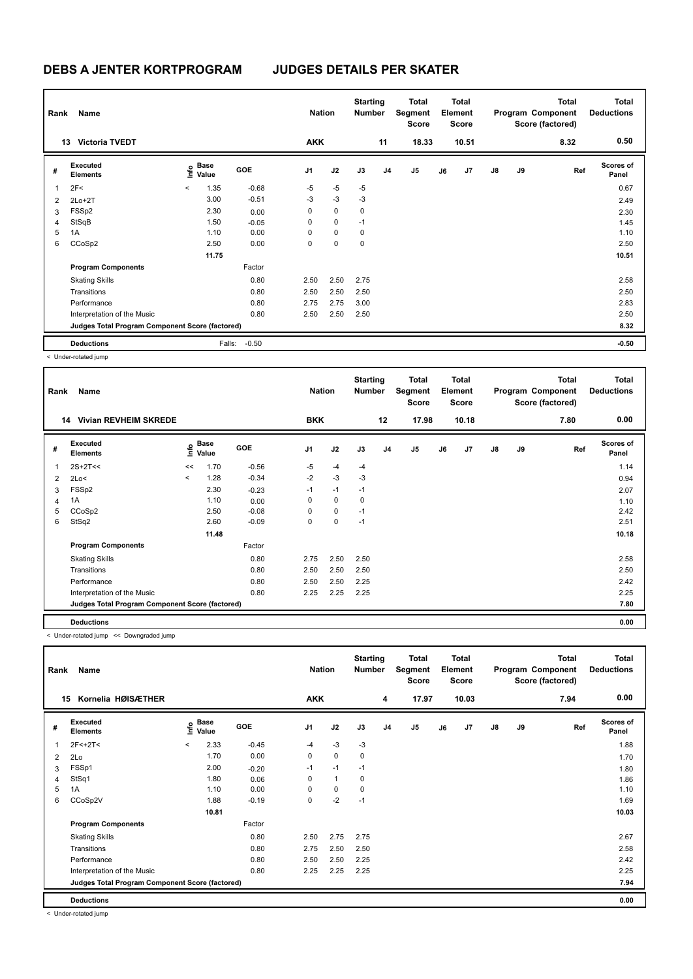| Name<br>Rank |                                                 |       |               |            |                | <b>Nation</b> |      | <b>Starting</b><br><b>Number</b> | <b>Total</b><br>Segment<br><b>Score</b> | Total<br>Element<br>Score |                |               |    | <b>Total</b><br>Program Component<br>Score (factored) | <b>Total</b><br><b>Deductions</b> |
|--------------|-------------------------------------------------|-------|---------------|------------|----------------|---------------|------|----------------------------------|-----------------------------------------|---------------------------|----------------|---------------|----|-------------------------------------------------------|-----------------------------------|
|              | <b>Victoria TVEDT</b><br>13                     |       |               |            | <b>AKK</b>     |               |      | 11                               | 18.33                                   |                           | 10.51          |               |    | 8.32                                                  | 0.50                              |
| #            | Executed<br><b>Elements</b>                     | lnfo  | Base<br>Value | <b>GOE</b> | J <sub>1</sub> | J2            | J3   | J <sub>4</sub>                   | J5                                      | J6                        | J <sub>7</sub> | $\mathsf{J}8$ | J9 | Ref                                                   | <b>Scores of</b><br>Panel         |
| 1            | 2F<                                             | $\,<$ | 1.35          | $-0.68$    | $-5$           | $-5$          | $-5$ |                                  |                                         |                           |                |               |    |                                                       | 0.67                              |
| 2            | $2Lo+2T$                                        |       | 3.00          | $-0.51$    | $-3$           | $-3$          | $-3$ |                                  |                                         |                           |                |               |    |                                                       | 2.49                              |
| 3            | FSSp2                                           |       | 2.30          | 0.00       | 0              | $\mathbf 0$   | 0    |                                  |                                         |                           |                |               |    |                                                       | 2.30                              |
| 4            | StSqB                                           |       | 1.50          | $-0.05$    | 0              | 0             | $-1$ |                                  |                                         |                           |                |               |    |                                                       | 1.45                              |
| 5            | 1A                                              |       | 1.10          | 0.00       | 0              | $\mathbf 0$   | 0    |                                  |                                         |                           |                |               |    |                                                       | 1.10                              |
| 6            | CCoSp2                                          |       | 2.50          | 0.00       | 0              | $\mathbf 0$   | 0    |                                  |                                         |                           |                |               |    |                                                       | 2.50                              |
|              |                                                 |       | 11.75         |            |                |               |      |                                  |                                         |                           |                |               |    |                                                       | 10.51                             |
|              | <b>Program Components</b>                       |       |               | Factor     |                |               |      |                                  |                                         |                           |                |               |    |                                                       |                                   |
|              | <b>Skating Skills</b>                           |       |               | 0.80       | 2.50           | 2.50          | 2.75 |                                  |                                         |                           |                |               |    |                                                       | 2.58                              |
|              | Transitions                                     |       |               | 0.80       | 2.50           | 2.50          | 2.50 |                                  |                                         |                           |                |               |    |                                                       | 2.50                              |
|              | Performance                                     |       |               | 0.80       | 2.75           | 2.75          | 3.00 |                                  |                                         |                           |                |               |    |                                                       | 2.83                              |
|              | Interpretation of the Music                     |       |               | 0.80       | 2.50           | 2.50          | 2.50 |                                  |                                         |                           |                |               |    |                                                       | 2.50                              |
|              | Judges Total Program Component Score (factored) |       |               |            |                |               |      |                                  |                                         |                           |                |               |    | 8.32                                                  |                                   |
|              | <b>Deductions</b>                               |       | Falls:        | $-0.50$    |                |               |      |                                  |                                         |                           |                |               |    |                                                       | $-0.50$                           |

< Under-rotated jump

|   | Name<br>Rank                                    |                           |       |            |            |             | <b>Starting</b><br><b>Number</b> |                | <b>Total</b><br>Segment<br><b>Score</b> |    | <b>Total</b><br>Element<br><b>Score</b> |               | <b>Total</b><br>Program Component<br>Score (factored) |      | <b>Total</b><br><b>Deductions</b> |
|---|-------------------------------------------------|---------------------------|-------|------------|------------|-------------|----------------------------------|----------------|-----------------------------------------|----|-----------------------------------------|---------------|-------------------------------------------------------|------|-----------------------------------|
|   | <b>Vivian REVHEIM SKREDE</b><br>14              |                           |       |            | <b>BKK</b> |             |                                  | 12             | 17.98                                   |    | 10.18                                   |               |                                                       | 7.80 | 0.00                              |
| # | <b>Executed</b><br><b>Elements</b>              | Base<br>o Base<br>⊆ Value |       | <b>GOE</b> | J1         | J2          | J3                               | J <sub>4</sub> | J <sub>5</sub>                          | J6 | J <sub>7</sub>                          | $\mathsf{J}8$ | J9                                                    | Ref  | <b>Scores of</b><br>Panel         |
| 1 | $2S+2T<<$                                       | <<                        | 1.70  | $-0.56$    | $-5$       | $-4$        | $-4$                             |                |                                         |    |                                         |               |                                                       |      | 1.14                              |
| 2 | 2Lo<                                            | $\prec$                   | 1.28  | $-0.34$    | $-2$       | $-3$        | $-3$                             |                |                                         |    |                                         |               |                                                       |      | 0.94                              |
| 3 | FSSp2                                           |                           | 2.30  | $-0.23$    | $-1$       | $-1$        | $-1$                             |                |                                         |    |                                         |               |                                                       |      | 2.07                              |
| 4 | 1A                                              |                           | 1.10  | 0.00       | 0          | $\mathbf 0$ | 0                                |                |                                         |    |                                         |               |                                                       |      | 1.10                              |
| 5 | CCoSp2                                          |                           | 2.50  | $-0.08$    | $\Omega$   | $\mathbf 0$ | $-1$                             |                |                                         |    |                                         |               |                                                       |      | 2.42                              |
| 6 | StSq2                                           |                           | 2.60  | $-0.09$    | 0          | 0           | $-1$                             |                |                                         |    |                                         |               |                                                       |      | 2.51                              |
|   |                                                 |                           | 11.48 |            |            |             |                                  |                |                                         |    |                                         |               |                                                       |      | 10.18                             |
|   | <b>Program Components</b>                       |                           |       | Factor     |            |             |                                  |                |                                         |    |                                         |               |                                                       |      |                                   |
|   | <b>Skating Skills</b>                           |                           |       | 0.80       | 2.75       | 2.50        | 2.50                             |                |                                         |    |                                         |               |                                                       |      | 2.58                              |
|   | Transitions                                     |                           |       | 0.80       | 2.50       | 2.50        | 2.50                             |                |                                         |    |                                         |               |                                                       |      | 2.50                              |
|   | Performance                                     |                           |       | 0.80       | 2.50       | 2.50        | 2.25                             |                |                                         |    |                                         |               |                                                       |      | 2.42                              |
|   | Interpretation of the Music                     |                           |       | 0.80       | 2.25       | 2.25        | 2.25                             |                |                                         |    |                                         |               |                                                       |      | 2.25                              |
|   | Judges Total Program Component Score (factored) |                           |       |            |            |             |                                  |                |                                         |    |                                         |               |                                                       |      | 7.80                              |
|   | <b>Deductions</b>                               |                           |       |            |            |             |                                  |                |                                         |    |                                         |               |                                                       |      | 0.00                              |

< Under-rotated jump << Downgraded jump

|    | Name<br>Rank                                    |          |                      |            |                |              | <b>Starting</b><br><b>Number</b> |                | <b>Total</b><br>Segment<br><b>Score</b> |    | <b>Total</b><br><b>Element</b><br><b>Score</b> |               |    | <b>Total</b><br>Program Component<br>Score (factored) | <b>Total</b><br><b>Deductions</b> |
|----|-------------------------------------------------|----------|----------------------|------------|----------------|--------------|----------------------------------|----------------|-----------------------------------------|----|------------------------------------------------|---------------|----|-------------------------------------------------------|-----------------------------------|
| 15 | Kornelia HØISÆTHER                              |          |                      |            | <b>AKK</b>     |              |                                  | 4              | 17.97                                   |    | 10.03                                          |               |    | 7.94                                                  | 0.00                              |
| #  | Executed<br><b>Elements</b>                     | lnfo     | <b>Base</b><br>Value | <b>GOE</b> | J <sub>1</sub> | J2           | J3                               | J <sub>4</sub> | J5                                      | J6 | J7                                             | $\mathsf{J}8$ | J9 | Ref                                                   | <b>Scores of</b><br>Panel         |
| 1  | $2F < +2T <$                                    | $\hat{}$ | 2.33                 | $-0.45$    | $-4$           | $-3$         | $-3$                             |                |                                         |    |                                                |               |    |                                                       | 1.88                              |
| 2  | 2Lo                                             |          | 1.70                 | 0.00       | 0              | $\mathbf 0$  | 0                                |                |                                         |    |                                                |               |    |                                                       | 1.70                              |
| 3  | FSSp1                                           |          | 2.00                 | $-0.20$    | $-1$           | $-1$         | $-1$                             |                |                                         |    |                                                |               |    |                                                       | 1.80                              |
| 4  | StSq1                                           |          | 1.80                 | 0.06       | 0              | $\mathbf{1}$ | 0                                |                |                                         |    |                                                |               |    |                                                       | 1.86                              |
| 5  | 1A                                              |          | 1.10                 | 0.00       | 0              | $\mathbf 0$  | 0                                |                |                                         |    |                                                |               |    |                                                       | 1.10                              |
| 6  | CCoSp2V                                         |          | 1.88                 | $-0.19$    | 0              | $-2$         | $-1$                             |                |                                         |    |                                                |               |    |                                                       | 1.69                              |
|    |                                                 |          | 10.81                |            |                |              |                                  |                |                                         |    |                                                |               |    |                                                       | 10.03                             |
|    | <b>Program Components</b>                       |          |                      | Factor     |                |              |                                  |                |                                         |    |                                                |               |    |                                                       |                                   |
|    | <b>Skating Skills</b>                           |          |                      | 0.80       | 2.50           | 2.75         | 2.75                             |                |                                         |    |                                                |               |    |                                                       | 2.67                              |
|    | Transitions                                     |          |                      | 0.80       | 2.75           | 2.50         | 2.50                             |                |                                         |    |                                                |               |    |                                                       | 2.58                              |
|    | Performance                                     |          |                      | 0.80       | 2.50           | 2.50         | 2.25                             |                |                                         |    |                                                |               |    |                                                       | 2.42                              |
|    | Interpretation of the Music                     |          |                      | 0.80       | 2.25           | 2.25         | 2.25                             |                |                                         |    |                                                |               |    |                                                       | 2.25                              |
|    | Judges Total Program Component Score (factored) |          |                      |            |                |              |                                  |                |                                         |    |                                                |               |    |                                                       | 7.94                              |
|    | <b>Deductions</b>                               |          |                      |            |                |              |                                  |                |                                         |    |                                                |               |    |                                                       | 0.00                              |

< Under-rotated jump